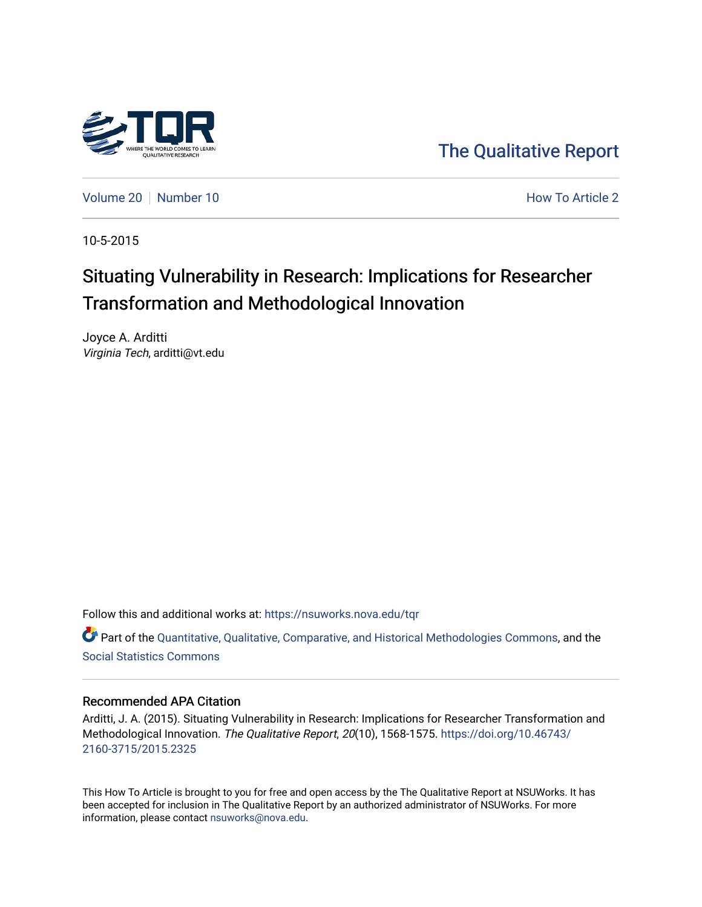

[The Qualitative Report](https://nsuworks.nova.edu/tqr) 

[Volume 20](https://nsuworks.nova.edu/tqr/vol20) [Number 10](https://nsuworks.nova.edu/tqr/vol20/iss10) **How To Article 2** How To Article 2

10-5-2015

## Situating Vulnerability in Research: Implications for Researcher Transformation and Methodological Innovation

Joyce A. Arditti Virginia Tech, arditti@vt.edu

Follow this and additional works at: [https://nsuworks.nova.edu/tqr](https://nsuworks.nova.edu/tqr?utm_source=nsuworks.nova.edu%2Ftqr%2Fvol20%2Fiss10%2F2&utm_medium=PDF&utm_campaign=PDFCoverPages) 

Part of the [Quantitative, Qualitative, Comparative, and Historical Methodologies Commons,](http://network.bepress.com/hgg/discipline/423?utm_source=nsuworks.nova.edu%2Ftqr%2Fvol20%2Fiss10%2F2&utm_medium=PDF&utm_campaign=PDFCoverPages) and the [Social Statistics Commons](http://network.bepress.com/hgg/discipline/1275?utm_source=nsuworks.nova.edu%2Ftqr%2Fvol20%2Fiss10%2F2&utm_medium=PDF&utm_campaign=PDFCoverPages) 

### Recommended APA Citation

Arditti, J. A. (2015). Situating Vulnerability in Research: Implications for Researcher Transformation and Methodological Innovation. The Qualitative Report, 20(10), 1568-1575. [https://doi.org/10.46743/](https://doi.org/10.46743/2160-3715/2015.2325) [2160-3715/2015.2325](https://doi.org/10.46743/2160-3715/2015.2325)

This How To Article is brought to you for free and open access by the The Qualitative Report at NSUWorks. It has been accepted for inclusion in The Qualitative Report by an authorized administrator of NSUWorks. For more information, please contact [nsuworks@nova.edu.](mailto:nsuworks@nova.edu)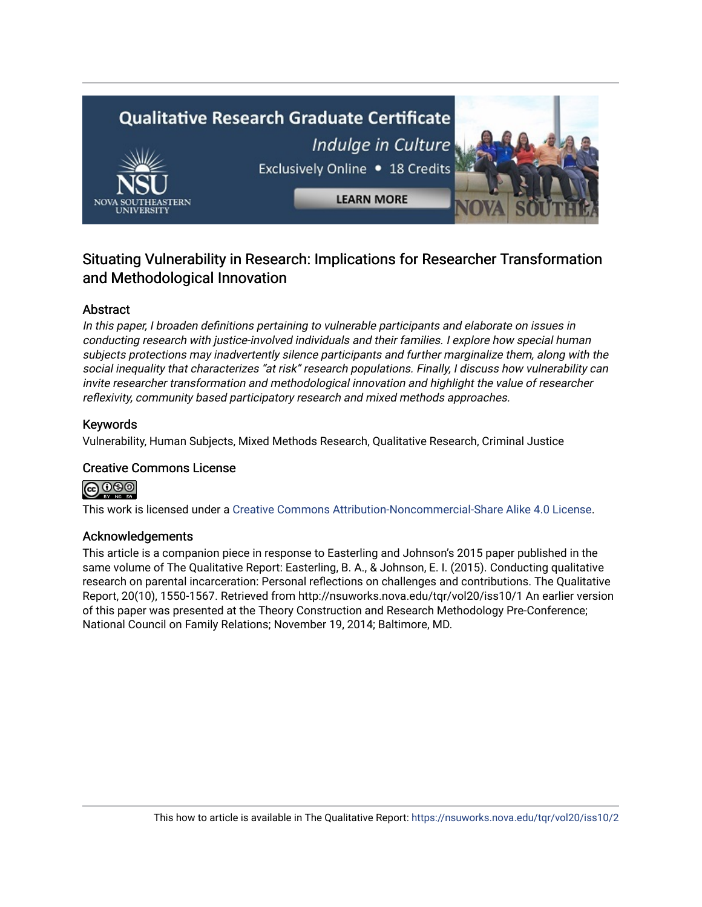# **Qualitative Research Graduate Certificate** Indulge in Culture Exclusively Online . 18 Credits **LEARN MORE**

### Situating Vulnerability in Research: Implications for Researcher Transformation and Methodological Innovation

### Abstract

In this paper, I broaden definitions pertaining to vulnerable participants and elaborate on issues in conducting research with justice-involved individuals and their families. I explore how special human subjects protections may inadvertently silence participants and further marginalize them, along with the social inequality that characterizes "at risk" research populations. Finally, I discuss how vulnerability can invite researcher transformation and methodological innovation and highlight the value of researcher reflexivity, community based participatory research and mixed methods approaches.

### Keywords

Vulnerability, Human Subjects, Mixed Methods Research, Qualitative Research, Criminal Justice

### Creative Commons License

၀ၜၜႜ

This work is licensed under a [Creative Commons Attribution-Noncommercial-Share Alike 4.0 License](https://creativecommons.org/licenses/by-nc-sa/4.0/).

### Acknowledgements

This article is a companion piece in response to Easterling and Johnson's 2015 paper published in the same volume of The Qualitative Report: Easterling, B. A., & Johnson, E. I. (2015). Conducting qualitative research on parental incarceration: Personal reflections on challenges and contributions. The Qualitative Report, 20(10), 1550-1567. Retrieved from http://nsuworks.nova.edu/tqr/vol20/iss10/1 An earlier version of this paper was presented at the Theory Construction and Research Methodology Pre-Conference; National Council on Family Relations; November 19, 2014; Baltimore, MD.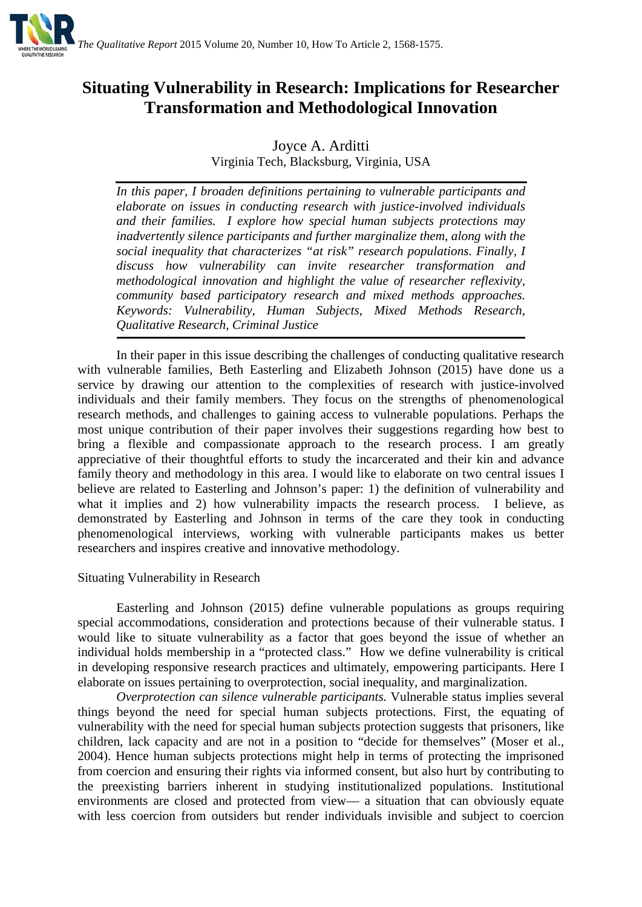

### **Situating Vulnerability in Research: Implications for Researcher Transformation and Methodological Innovation**

### Joyce A. Arditti Virginia Tech, Blacksburg, Virginia, USA

*In this paper, I broaden definitions pertaining to vulnerable participants and elaborate on issues in conducting research with justice-involved individuals and their families. I explore how special human subjects protections may inadvertently silence participants and further marginalize them, along with the social inequality that characterizes "at risk" research populations. Finally, I discuss how vulnerability can invite researcher transformation and methodological innovation and highlight the value of researcher reflexivity, community based participatory research and mixed methods approaches. Keywords: Vulnerability, Human Subjects, Mixed Methods Research, Qualitative Research, Criminal Justice*

In their paper in this issue describing the challenges of conducting qualitative research with vulnerable families, Beth Easterling and Elizabeth Johnson (2015) have done us a service by drawing our attention to the complexities of research with justice-involved individuals and their family members. They focus on the strengths of phenomenological research methods, and challenges to gaining access to vulnerable populations. Perhaps the most unique contribution of their paper involves their suggestions regarding how best to bring a flexible and compassionate approach to the research process. I am greatly appreciative of their thoughtful efforts to study the incarcerated and their kin and advance family theory and methodology in this area. I would like to elaborate on two central issues I believe are related to Easterling and Johnson's paper: 1) the definition of vulnerability and what it implies and 2) how vulnerability impacts the research process. I believe, as demonstrated by Easterling and Johnson in terms of the care they took in conducting phenomenological interviews, working with vulnerable participants makes us better researchers and inspires creative and innovative methodology.

### Situating Vulnerability in Research

Easterling and Johnson (2015) define vulnerable populations as groups requiring special accommodations, consideration and protections because of their vulnerable status. I would like to situate vulnerability as a factor that goes beyond the issue of whether an individual holds membership in a "protected class." How we define vulnerability is critical in developing responsive research practices and ultimately, empowering participants. Here I elaborate on issues pertaining to overprotection, social inequality, and marginalization.

*Overprotection can silence vulnerable participants.* Vulnerable status implies several things beyond the need for special human subjects protections. First, the equating of vulnerability with the need for special human subjects protection suggests that prisoners, like children, lack capacity and are not in a position to "decide for themselves" (Moser et al., 2004). Hence human subjects protections might help in terms of protecting the imprisoned from coercion and ensuring their rights via informed consent, but also hurt by contributing to the preexisting barriers inherent in studying institutionalized populations. Institutional environments are closed and protected from view— a situation that can obviously equate with less coercion from outsiders but render individuals invisible and subject to coercion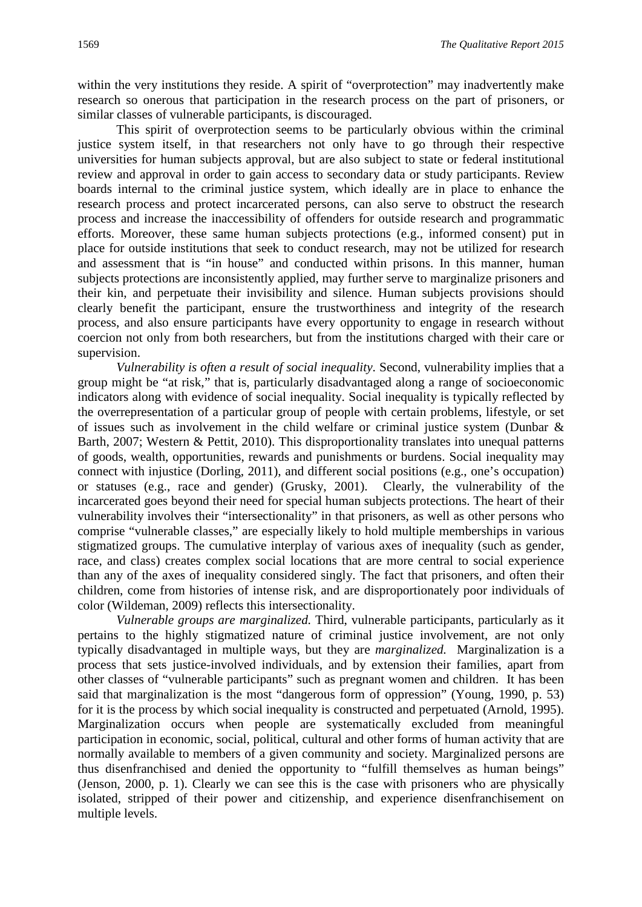within the very institutions they reside. A spirit of "overprotection" may inadvertently make research so onerous that participation in the research process on the part of prisoners, or similar classes of vulnerable participants, is discouraged.

This spirit of overprotection seems to be particularly obvious within the criminal justice system itself, in that researchers not only have to go through their respective universities for human subjects approval, but are also subject to state or federal institutional review and approval in order to gain access to secondary data or study participants. Review boards internal to the criminal justice system, which ideally are in place to enhance the research process and protect incarcerated persons, can also serve to obstruct the research process and increase the inaccessibility of offenders for outside research and programmatic efforts. Moreover, these same human subjects protections (e.g., informed consent) put in place for outside institutions that seek to conduct research, may not be utilized for research and assessment that is "in house" and conducted within prisons. In this manner, human subjects protections are inconsistently applied, may further serve to marginalize prisoners and their kin, and perpetuate their invisibility and silence. Human subjects provisions should clearly benefit the participant, ensure the trustworthiness and integrity of the research process, and also ensure participants have every opportunity to engage in research without coercion not only from both researchers, but from the institutions charged with their care or supervision.

*Vulnerability is often a result of social inequality*. Second, vulnerability implies that a group might be "at risk," that is, particularly disadvantaged along a range of socioeconomic indicators along with evidence of social inequality. Social inequality is typically reflected by the overrepresentation of a particular group of people with certain problems, lifestyle, or set of issues such as involvement in the child welfare or criminal justice system (Dunbar & Barth, 2007; Western & Pettit, 2010). This disproportionality translates into unequal patterns of goods, wealth, opportunities, rewards and punishments or burdens. Social inequality may connect with injustice (Dorling, 2011), and different social positions (e.g., one's occupation) or statuses (e.g., race and gender) (Grusky, 2001). Clearly, the vulnerability of the incarcerated goes beyond their need for special human subjects protections. The heart of their vulnerability involves their "intersectionality" in that prisoners, as well as other persons who comprise "vulnerable classes," are especially likely to hold multiple memberships in various stigmatized groups. The cumulative interplay of various axes of inequality (such as gender, race, and class) creates complex social locations that are more central to social experience than any of the axes of inequality considered singly. The fact that prisoners, and often their children, come from histories of intense risk, and are disproportionately poor individuals of color (Wildeman, 2009) reflects this intersectionality.

*Vulnerable groups are marginalized.* Third, vulnerable participants, particularly as it pertains to the highly stigmatized nature of criminal justice involvement, are not only typically disadvantaged in multiple ways, but they are *marginalized.* Marginalization is a process that sets justice-involved individuals, and by extension their families, apart from other classes of "vulnerable participants" such as pregnant women and children. It has been said that marginalization is the most "dangerous form of oppression" (Young, 1990, p. 53) for it is the process by which social inequality is constructed and perpetuated (Arnold, 1995). Marginalization occurs when people are systematically excluded from meaningful participation in economic, social, political, cultural and other forms of human activity that are normally available to members of a given community and society. Marginalized persons are thus disenfranchised and denied the opportunity to "fulfill themselves as human beings" (Jenson, 2000, p. 1). Clearly we can see this is the case with prisoners who are physically isolated, stripped of their power and citizenship, and experience disenfranchisement on multiple levels.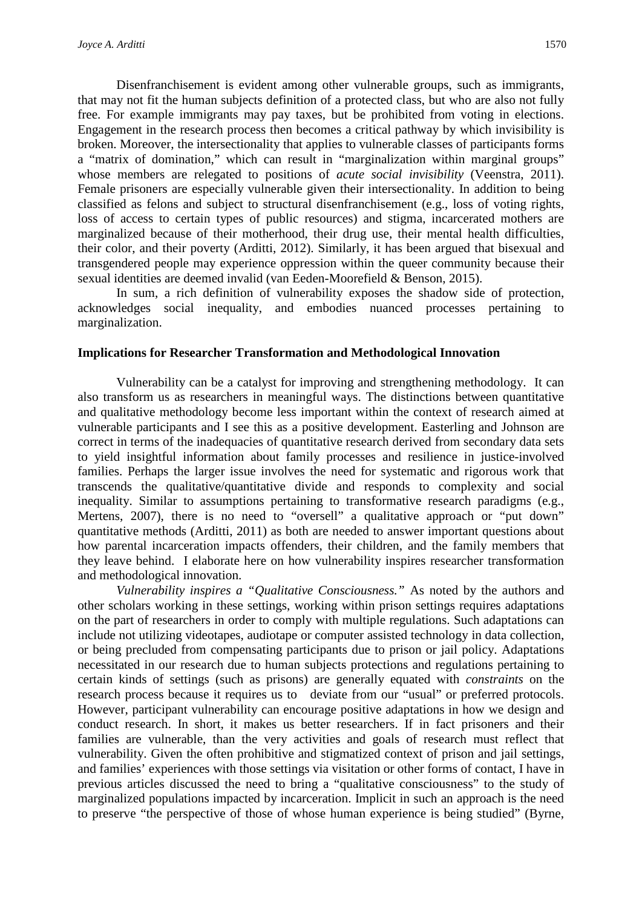Disenfranchisement is evident among other vulnerable groups, such as immigrants, that may not fit the human subjects definition of a protected class, but who are also not fully free. For example immigrants may pay taxes, but be prohibited from voting in elections. Engagement in the research process then becomes a critical pathway by which invisibility is broken. Moreover, the intersectionality that applies to vulnerable classes of participants forms a "matrix of domination," which can result in "marginalization within marginal groups" whose members are relegated to positions of *acute social invisibility* (Veenstra, 2011). Female prisoners are especially vulnerable given their intersectionality. In addition to being classified as felons and subject to structural disenfranchisement (e.g., loss of voting rights, loss of access to certain types of public resources) and stigma, incarcerated mothers are marginalized because of their motherhood, their drug use, their mental health difficulties, their color, and their poverty (Arditti, 2012). Similarly, it has been argued that bisexual and transgendered people may experience oppression within the queer community because their sexual identities are deemed invalid (van Eeden-Moorefield & Benson, 2015).

In sum, a rich definition of vulnerability exposes the shadow side of protection, acknowledges social inequality, and embodies nuanced processes pertaining to marginalization.

#### **Implications for Researcher Transformation and Methodological Innovation**

Vulnerability can be a catalyst for improving and strengthening methodology. It can also transform us as researchers in meaningful ways. The distinctions between quantitative and qualitative methodology become less important within the context of research aimed at vulnerable participants and I see this as a positive development. Easterling and Johnson are correct in terms of the inadequacies of quantitative research derived from secondary data sets to yield insightful information about family processes and resilience in justice-involved families. Perhaps the larger issue involves the need for systematic and rigorous work that transcends the qualitative/quantitative divide and responds to complexity and social inequality. Similar to assumptions pertaining to transformative research paradigms (e.g., Mertens, 2007), there is no need to "oversell" a qualitative approach or "put down" quantitative methods (Arditti, 2011) as both are needed to answer important questions about how parental incarceration impacts offenders, their children, and the family members that they leave behind. I elaborate here on how vulnerability inspires researcher transformation and methodological innovation.

*Vulnerability inspires a "Qualitative Consciousness."* As noted by the authors and other scholars working in these settings, working within prison settings requires adaptations on the part of researchers in order to comply with multiple regulations. Such adaptations can include not utilizing videotapes, audiotape or computer assisted technology in data collection, or being precluded from compensating participants due to prison or jail policy. Adaptations necessitated in our research due to human subjects protections and regulations pertaining to certain kinds of settings (such as prisons) are generally equated with *constraints* on the research process because it requires us to deviate from our "usual" or preferred protocols. However, participant vulnerability can encourage positive adaptations in how we design and conduct research. In short, it makes us better researchers. If in fact prisoners and their families are vulnerable, than the very activities and goals of research must reflect that vulnerability. Given the often prohibitive and stigmatized context of prison and jail settings, and families' experiences with those settings via visitation or other forms of contact, I have in previous articles discussed the need to bring a "qualitative consciousness" to the study of marginalized populations impacted by incarceration. Implicit in such an approach is the need to preserve "the perspective of those of whose human experience is being studied" (Byrne,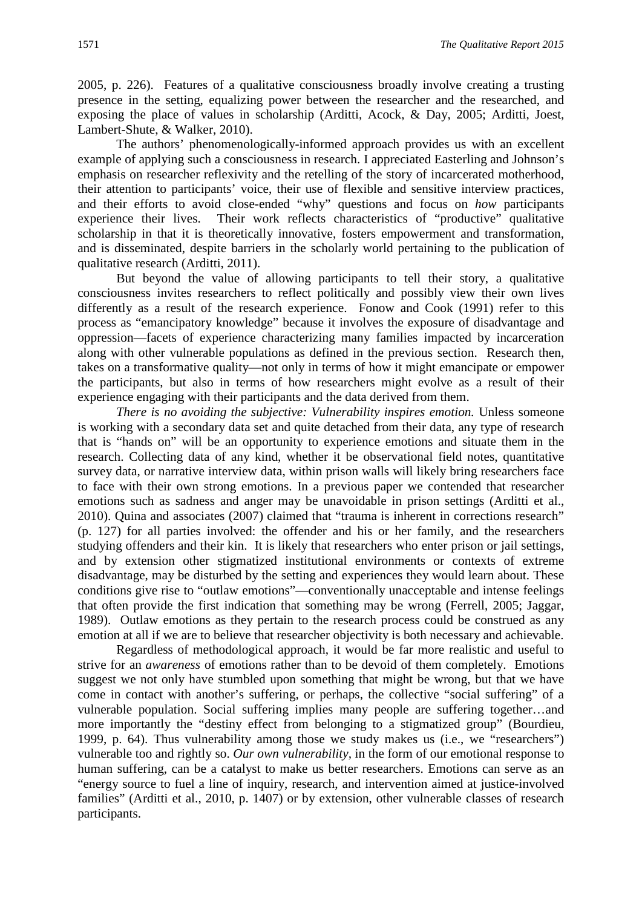2005, p. 226). Features of a qualitative consciousness broadly involve creating a trusting presence in the setting, equalizing power between the researcher and the researched, and exposing the place of values in scholarship (Arditti, Acock, & Day, 2005; Arditti, Joest, Lambert-Shute, & Walker, 2010).

The authors' phenomenologically-informed approach provides us with an excellent example of applying such a consciousness in research. I appreciated Easterling and Johnson's emphasis on researcher reflexivity and the retelling of the story of incarcerated motherhood, their attention to participants' voice, their use of flexible and sensitive interview practices, and their efforts to avoid close-ended "why" questions and focus on *how* participants experience their lives. Their work reflects characteristics of "productive" qualitative scholarship in that it is theoretically innovative, fosters empowerment and transformation, and is disseminated, despite barriers in the scholarly world pertaining to the publication of qualitative research (Arditti, 2011).

But beyond the value of allowing participants to tell their story, a qualitative consciousness invites researchers to reflect politically and possibly view their own lives differently as a result of the research experience. Fonow and Cook (1991) refer to this process as "emancipatory knowledge" because it involves the exposure of disadvantage and oppression—facets of experience characterizing many families impacted by incarceration along with other vulnerable populations as defined in the previous section. Research then, takes on a transformative quality—not only in terms of how it might emancipate or empower the participants, but also in terms of how researchers might evolve as a result of their experience engaging with their participants and the data derived from them.

*There is no avoiding the subjective: Vulnerability inspires emotion.* Unless someone is working with a secondary data set and quite detached from their data, any type of research that is "hands on" will be an opportunity to experience emotions and situate them in the research. Collecting data of any kind, whether it be observational field notes, quantitative survey data, or narrative interview data, within prison walls will likely bring researchers face to face with their own strong emotions. In a previous paper we contended that researcher emotions such as sadness and anger may be unavoidable in prison settings (Arditti et al., 2010). Quina and associates (2007) claimed that "trauma is inherent in corrections research" (p. 127) for all parties involved: the offender and his or her family, and the researchers studying offenders and their kin. It is likely that researchers who enter prison or jail settings, and by extension other stigmatized institutional environments or contexts of extreme disadvantage, may be disturbed by the setting and experiences they would learn about. These conditions give rise to "outlaw emotions"—conventionally unacceptable and intense feelings that often provide the first indication that something may be wrong (Ferrell, 2005; Jaggar, 1989). Outlaw emotions as they pertain to the research process could be construed as any emotion at all if we are to believe that researcher objectivity is both necessary and achievable.

Regardless of methodological approach, it would be far more realistic and useful to strive for an *awareness* of emotions rather than to be devoid of them completely. Emotions suggest we not only have stumbled upon something that might be wrong, but that we have come in contact with another's suffering, or perhaps, the collective "social suffering" of a vulnerable population. Social suffering implies many people are suffering together…and more importantly the "destiny effect from belonging to a stigmatized group" (Bourdieu, 1999, p. 64). Thus vulnerability among those we study makes us (i.e., we "researchers") vulnerable too and rightly so. *Our own vulnerability,* in the form of our emotional response to human suffering, can be a catalyst to make us better researchers. Emotions can serve as an "energy source to fuel a line of inquiry, research, and intervention aimed at justice-involved families" (Arditti et al., 2010, p. 1407) or by extension, other vulnerable classes of research participants.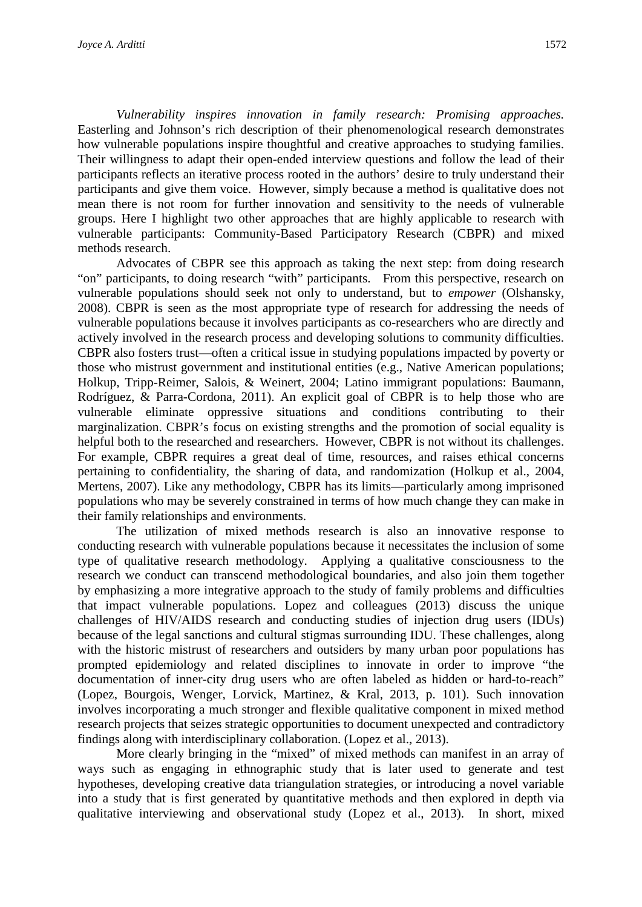*Vulnerability inspires innovation in family research: Promising approaches.* Easterling and Johnson's rich description of their phenomenological research demonstrates how vulnerable populations inspire thoughtful and creative approaches to studying families. Their willingness to adapt their open-ended interview questions and follow the lead of their participants reflects an iterative process rooted in the authors' desire to truly understand their participants and give them voice. However, simply because a method is qualitative does not mean there is not room for further innovation and sensitivity to the needs of vulnerable groups. Here I highlight two other approaches that are highly applicable to research with vulnerable participants: Community-Based Participatory Research (CBPR) and mixed methods research.

Advocates of CBPR see this approach as taking the next step: from doing research "on" participants, to doing research "with" participants. From this perspective, research on vulnerable populations should seek not only to understand, but to *empower* (Olshansky, 2008). CBPR is seen as the most appropriate type of research for addressing the needs of vulnerable populations because it involves participants as co-researchers who are directly and actively involved in the research process and developing solutions to community difficulties. CBPR also fosters trust—often a critical issue in studying populations impacted by poverty or those who mistrust government and institutional entities (e.g., Native American populations; Holkup, Tripp-Reimer, Salois, & Weinert, 2004; Latino immigrant populations: Baumann, Rodríguez, & Parra-Cordona, 2011). An explicit goal of CBPR is to help those who are vulnerable eliminate oppressive situations and conditions contributing to their marginalization. CBPR's focus on existing strengths and the promotion of social equality is helpful both to the researched and researchers. However, CBPR is not without its challenges. For example, CBPR requires a great deal of time, resources, and raises ethical concerns pertaining to confidentiality, the sharing of data, and randomization (Holkup et al., 2004, Mertens, 2007). Like any methodology, CBPR has its limits—particularly among imprisoned populations who may be severely constrained in terms of how much change they can make in their family relationships and environments.

The utilization of mixed methods research is also an innovative response to conducting research with vulnerable populations because it necessitates the inclusion of some type of qualitative research methodology. Applying a qualitative consciousness to the research we conduct can transcend methodological boundaries, and also join them together by emphasizing a more integrative approach to the study of family problems and difficulties that impact vulnerable populations. Lopez and colleagues (2013) discuss the unique challenges of HIV/AIDS research and conducting studies of injection drug users (IDUs) because of the legal sanctions and cultural stigmas surrounding IDU. These challenges, along with the historic mistrust of researchers and outsiders by many urban poor populations has prompted epidemiology and related disciplines to innovate in order to improve "the documentation of inner-city drug users who are often labeled as hidden or hard-to-reach" (Lopez, Bourgois, Wenger, Lorvick, Martinez, & Kral, 2013, p. 101). Such innovation involves incorporating a much stronger and flexible qualitative component in mixed method research projects that seizes strategic opportunities to document unexpected and contradictory findings along with interdisciplinary collaboration. (Lopez et al., 2013).

More clearly bringing in the "mixed" of mixed methods can manifest in an array of ways such as engaging in ethnographic study that is later used to generate and test hypotheses, developing creative data triangulation strategies, or introducing a novel variable into a study that is first generated by quantitative methods and then explored in depth via qualitative interviewing and observational study (Lopez et al., 2013). In short, mixed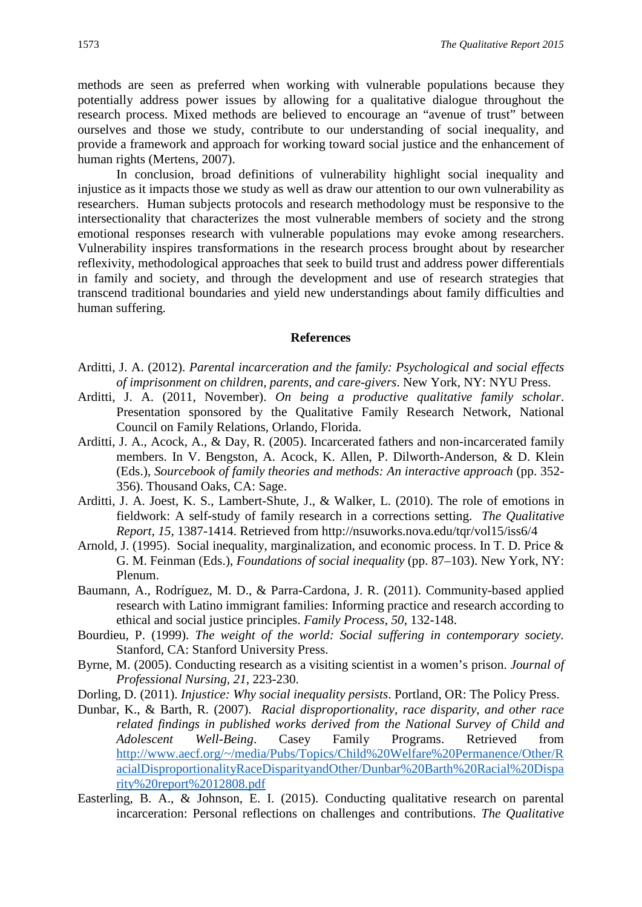methods are seen as preferred when working with vulnerable populations because they potentially address power issues by allowing for a qualitative dialogue throughout the research process. Mixed methods are believed to encourage an "avenue of trust" between ourselves and those we study, contribute to our understanding of social inequality, and provide a framework and approach for working toward social justice and the enhancement of human rights (Mertens, 2007).

In conclusion, broad definitions of vulnerability highlight social inequality and injustice as it impacts those we study as well as draw our attention to our own vulnerability as researchers. Human subjects protocols and research methodology must be responsive to the intersectionality that characterizes the most vulnerable members of society and the strong emotional responses research with vulnerable populations may evoke among researchers. Vulnerability inspires transformations in the research process brought about by researcher reflexivity, methodological approaches that seek to build trust and address power differentials in family and society, and through the development and use of research strategies that transcend traditional boundaries and yield new understandings about family difficulties and human suffering.

#### **References**

- Arditti, J. A. (2012). *Parental incarceration and the family: Psychological and social effects of imprisonment on children, parents, and care-givers*. New York, NY: NYU Press.
- Arditti, J. A. (2011, November). *On being a productive qualitative family scholar*. Presentation sponsored by the Qualitative Family Research Network, National Council on Family Relations, Orlando, Florida.
- Arditti, J. A., Acock, A., & Day, R. (2005). Incarcerated fathers and non-incarcerated family members. In V. Bengston, A. Acock, K. Allen, P. Dilworth-Anderson, & D. Klein (Eds.), *Sourcebook of family theories and methods: An interactive approach* (pp. 352- 356). Thousand Oaks, CA: Sage.
- Arditti, J. A. Joest, K. S., Lambert-Shute, J., & Walker, L. (2010). The role of emotions in fieldwork: A self-study of family research in a corrections setting. *The Qualitative Report, 15,* 1387-1414. Retrieved from http://nsuworks.nova.edu/tqr/vol15/iss6/4
- Arnold, J. (1995). Social inequality, marginalization, and economic process. In T. D. Price & G. M. Feinman (Eds.), *Foundations of social inequality* (pp. 87–103). New York, NY: Plenum.
- Baumann, A., Rodríguez, M. D., & Parra-Cardona, J. R. (2011). Community-based applied research with Latino immigrant families: Informing practice and research according to ethical and social justice principles. *Family Process, 50*, 132-148.
- Bourdieu, P. (1999). *The weight of the world: Social suffering in contemporary society.* Stanford, CA: Stanford University Press.
- Byrne, M. (2005). Conducting research as a visiting scientist in a women's prison. *Journal of Professional Nursing, 21*, 223-230.
- Dorling, D. (2011). *Injustice: Why social inequality persists*. Portland, OR: The Policy Press.
- Dunbar, K., & Barth, R. (2007). *Racial disproportionality, race disparity, and other race related findings in published works derived from the National Survey of Child and Adolescent Well-Being*. Casey Family Programs. Retrieved from [http://www.aecf.org/~/media/Pubs/Topics/Child%20Welfare%20Permanence/Other/R](http://www.aecf.org/%7E/media/Pubs/Topics/Child%20Welfare%20Permanence/Other/RacialDisproportionalityRaceDisparityandOther/Dunbar%20Barth%20Racial%20Disparity%20report%2012808.pdf) [acialDisproportionalityRaceDisparityandOther/Dunbar%20Barth%20Racial%20Dispa](http://www.aecf.org/%7E/media/Pubs/Topics/Child%20Welfare%20Permanence/Other/RacialDisproportionalityRaceDisparityandOther/Dunbar%20Barth%20Racial%20Disparity%20report%2012808.pdf) [rity%20report%2012808.pdf](http://www.aecf.org/%7E/media/Pubs/Topics/Child%20Welfare%20Permanence/Other/RacialDisproportionalityRaceDisparityandOther/Dunbar%20Barth%20Racial%20Disparity%20report%2012808.pdf)
- Easterling, B. A., & Johnson, E. I. (2015). Conducting qualitative research on parental incarceration: Personal reflections on challenges and contributions. *The Qualitative*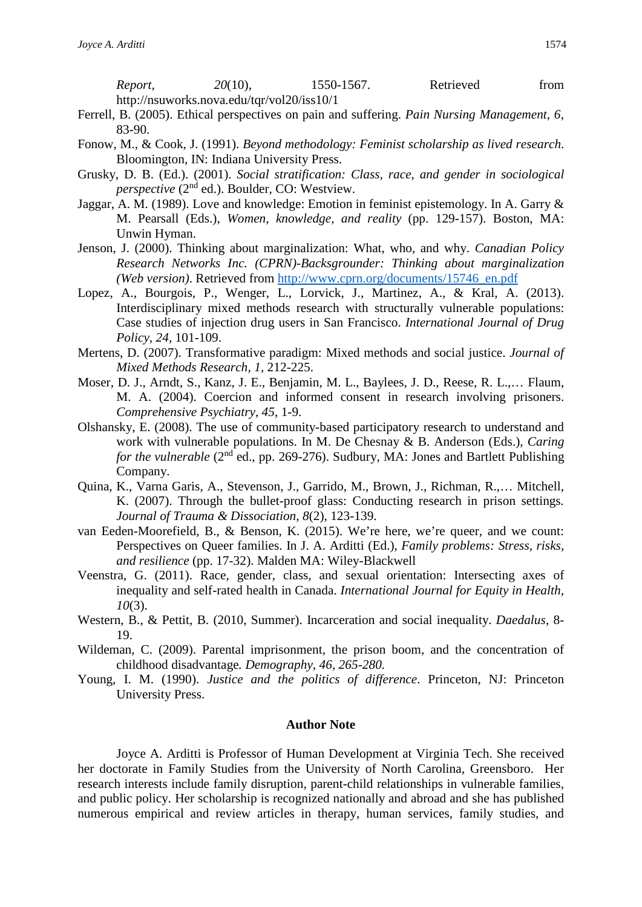*Report.* 20(10), 1550-1567. Retrieved from http://nsuworks.nova.edu/tqr/vol20/iss10/1

- Ferrell, B. (2005). Ethical perspectives on pain and suffering. *Pain Nursing Management, 6*, 83-90.
- Fonow, M., & Cook, J. (1991). *Beyond methodology: Feminist scholarship as lived research*. Bloomington, IN: Indiana University Press.
- Grusky, D. B. (Ed.). (2001). *Social stratification: Class, race, and gender in sociological perspective* (2nd ed.). Boulder, CO: Westview.
- Jaggar, A. M. (1989). Love and knowledge: Emotion in feminist epistemology. In A. Garry & M. Pearsall (Eds.), *Women, knowledge, and reality* (pp. 129-157). Boston, MA: Unwin Hyman.
- Jenson, J. (2000). Thinking about marginalization: What, who, and why. *Canadian Policy Research Networks Inc. (CPRN)-Backsgrounder: Thinking about marginalization (Web version)*. Retrieved from [http://www.cprn.org/documents/15746\\_en.pdf](http://www.cprn.org/documents/15746_en.pdf)
- Lopez, A., Bourgois, P., Wenger, L., Lorvick, J., Martinez, A., & Kral, A. (2013). Interdisciplinary mixed methods research with structurally vulnerable populations: Case studies of injection drug users in San Francisco. *International Journal of Drug Policy, 24,* 101-109.
- Mertens, D. (2007). Transformative paradigm: Mixed methods and social justice. *Journal of Mixed Methods Research, 1,* 212-225.
- Moser, D. J., Arndt, S., Kanz, J. E., Benjamin, M. L., Baylees, J. D., Reese, R. L.,… Flaum, M. A. (2004). Coercion and informed consent in research involving prisoners. *Comprehensive Psychiatry, 45*, 1-9.
- Olshansky, E. (2008). The use of community-based participatory research to understand and work with vulnerable populations. In M. De Chesnay & B. Anderson (Eds.), *Caring for the vulnerable* (2<sup>nd</sup> ed., pp. 269-276). Sudbury, MA: Jones and Bartlett Publishing Company.
- Quina, K., Varna Garis, A., Stevenson, J., Garrido, M., Brown, J., Richman, R.,… Mitchell, K. (2007). Through the bullet-proof glass: Conducting research in prison settings*. Journal of Trauma & Dissociation, 8*(2), 123-139.
- van Eeden-Moorefield, B., & Benson, K. (2015). We're here, we're queer, and we count: Perspectives on Queer families. In J. A. Arditti (Ed.), *Family problems: Stress, risks, and resilience* (pp. 17-32). Malden MA: Wiley-Blackwell
- Veenstra, G. (2011). Race, gender, class, and sexual orientation: Intersecting axes of inequality and self-rated health in Canada. *International Journal for Equity in Health, 10*(3).
- Western, B., & Pettit, B. (2010, Summer). Incarceration and social inequality. *Daedalus,* 8- 19.
- Wildeman, C. (2009). Parental imprisonment, the prison boom, and the concentration of childhood disadvantage*. Demography, 46, 265-280.*
- Young, I. M. (1990). *Justice and the politics of difference*. Princeton, NJ: Princeton University Press.

### **Author Note**

Joyce A. Arditti is Professor of Human Development at Virginia Tech. She received her doctorate in Family Studies from the University of North Carolina, Greensboro. Her research interests include family disruption, parent-child relationships in vulnerable families, and public policy. Her scholarship is recognized nationally and abroad and she has published numerous empirical and review articles in therapy, human services, family studies, and